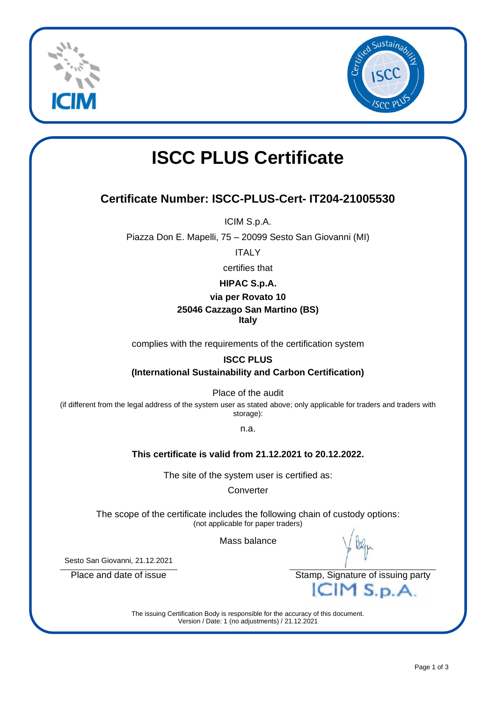



# **ISCC PLUS Certificate**

# **Certificate Number: ISCC-PLUS-Cert- IT204-21005530**

ICIM S.p.A.

Piazza Don E. Mapelli, 75 – 20099 Sesto San Giovanni (MI)

**ITALY** 

certifies that

## **HIPAC S.p.A.**

#### **via per Rovato 10**

## **25046 Cazzago San Martino (BS)**

**Italy**

complies with the requirements of the certification system

#### **ISCC PLUS**

**(International Sustainability and Carbon Certification)**

Place of the audit

(if different from the legal address of the system user as stated above; only applicable for traders and traders with storage):

n.a.

## **This certificate is valid from 21.12.2021 to 20.12.2022.**

The site of the system user is certified as:

**Converter** 

The scope of the certificate includes the following chain of custody options: (not applicable for paper traders)

Mass balance

Sesto San Giovanni, 21.12.2021

Place and date of issue Stamp, Signature of issuing party<br>
Stamp, Signature of issuing party

The issuing Certification Body is responsible for the accuracy of this document. Version / Date: 1 (no adjustments) / 21.12.2021